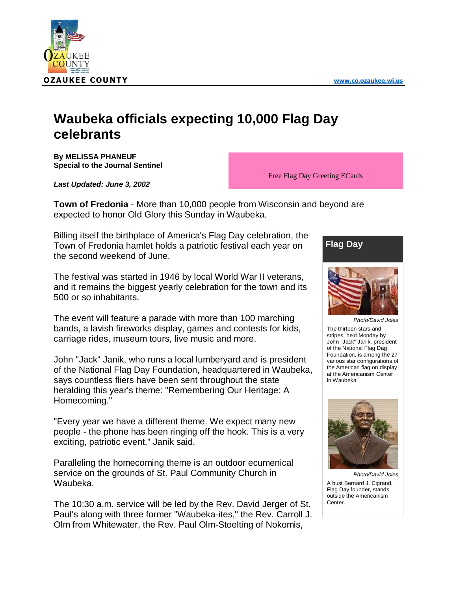

## **Waubeka officials expecting 10,000 Flag Day celebrants**

**By MELISSA PHANEUF Special to the Journal Sentinel**

*Last Updated: June 3, 2002*

Free Flag Day Greeting ECards

**Town of Fredonia** - More than 10,000 people from Wisconsin and beyond are expected to honor Old Glory this Sunday in Waubeka.

Billing itself the birthplace of America's Flag Day celebration, the Town of Fredonia hamlet holds a patriotic festival each year on the second weekend of June.

The festival was started in 1946 by local World War II veterans, and it remains the biggest yearly celebration for the town and its 500 or so inhabitants.

The event will feature a parade with more than 100 marching bands, a lavish fireworks display, games and contests for kids, carriage rides, museum tours, live music and more.

John "Jack" Janik, who runs a local lumberyard and is president of the National Flag Day Foundation, headquartered in Waubeka, says countless fliers have been sent throughout the state heralding this year's theme: "Remembering Our Heritage: A Homecoming."

"Every year we have a different theme. We expect many new people - the phone has been ringing off the hook. This is a very exciting, patriotic event," Janik said.

Paralleling the homecoming theme is an outdoor ecumenical service on the grounds of St. Paul Community Church in Waubeka.

The 10:30 a.m. service will be led by the Rev. David Jerger of St. Paul's along with three former "Waubeka-ites," the Rev. Carroll J. Olm from Whitewater, the Rev. Paul Olm-Stoelting of Nokomis,





*Photo/David Joles* The thirteen stars and stripes, held Monday by John "Jack" Janik, president of the National Flag Dag Foundation, is among the 27 various star configurations of the American flag on display at the Americanism Center in Waubeka.



*Photo/David Joles* A bust Bernard J. Cigrand, Flag Day founder, stands outside the Americanism Center.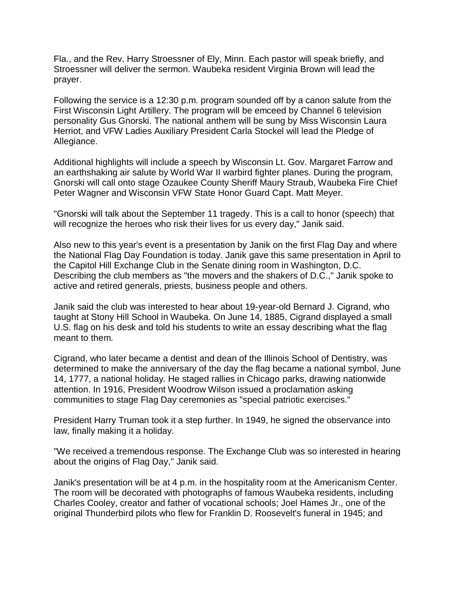Fla., and the Rev. Harry Stroessner of Ely, Minn. Each pastor will speak briefly, and Stroessner will deliver the sermon. Waubeka resident Virginia Brown will lead the prayer.

Following the service is a 12:30 p.m. program sounded off by a canon salute from the First Wisconsin Light Artillery. The program will be emceed by Channel 6 television personality Gus Gnorski. The national anthem will be sung by Miss Wisconsin Laura Herriot, and VFW Ladies Auxiliary President Carla Stockel will lead the Pledge of Allegiance.

Additional highlights will include a speech by Wisconsin Lt. Gov. Margaret Farrow and an earthshaking air salute by World War II warbird fighter planes. During the program, Gnorski will call onto stage Ozaukee County Sheriff Maury Straub, Waubeka Fire Chief Peter Wagner and Wisconsin VFW State Honor Guard Capt. Matt Meyer.

"Gnorski will talk about the September 11 tragedy. This is a call to honor (speech) that will recognize the heroes who risk their lives for us every day," Janik said.

Also new to this year's event is a presentation by Janik on the first Flag Day and where the National Flag Day Foundation is today. Janik gave this same presentation in April to the Capitol Hill Exchange Club in the Senate dining room in Washington, D.C. Describing the club members as "the movers and the shakers of D.C.," Janik spoke to active and retired generals, priests, business people and others.

Janik said the club was interested to hear about 19-year-old Bernard J. Cigrand, who taught at Stony Hill School in Waubeka. On June 14, 1885, Cigrand displayed a small U.S. flag on his desk and told his students to write an essay describing what the flag meant to them.

Cigrand, who later became a dentist and dean of the Illinois School of Dentistry, was determined to make the anniversary of the day the flag became a national symbol, June 14, 1777, a national holiday. He staged rallies in Chicago parks, drawing nationwide attention. In 1916, President Woodrow Wilson issued a proclamation asking communities to stage Flag Day ceremonies as "special patriotic exercises."

President Harry Truman took it a step further. In 1949, he signed the observance into law, finally making it a holiday.

"We received a tremendous response. The Exchange Club was so interested in hearing about the origins of Flag Day," Janik said.

Janik's presentation will be at 4 p.m. in the hospitality room at the Americanism Center. The room will be decorated with photographs of famous Waubeka residents, including Charles Cooley, creator and father of vocational schools; Joel Hames Jr., one of the original Thunderbird pilots who flew for Franklin D. Roosevelt's funeral in 1945; and